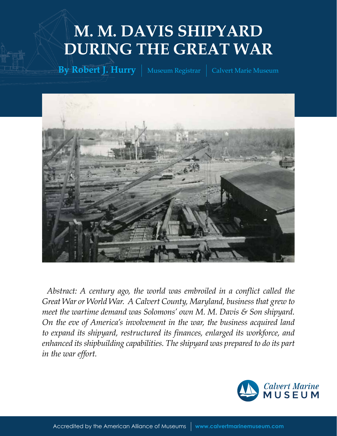# **M. M. DAVIS SHIPYARD DURING THE GREAT WAR**

**By Robert J. Hurry** | Museum Registrar | Calvert Marie Museum



*Abstract: A century ago, the world was embroiled in a conflict called the Great War or World War. A Calvert County, Maryland, business that grew to meet the wartime demand was Solomons' own M. M. Davis & Son shipyard. On the eve of America's involvement in the war, the business acquired land to expand its shipyard, restructured its finances, enlarged its workforce, and enhanced its shipbuilding capabilities. The shipyard was prepared to do its part in the war effort.*

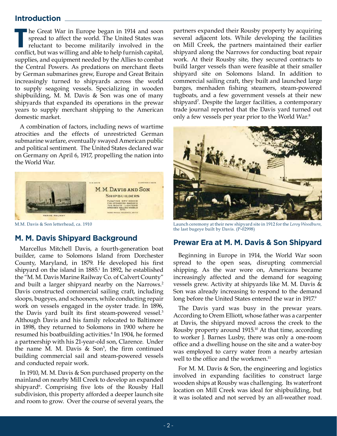## **Introduction**

**The Great War in Europe began in 1914 and soon spread to affect the world. The United States was reluctant to become militarily involved in the conflict, but was willing and able to help furnish capital,** he Great War in Europe began in 1914 and soon spread to affect the world. The United States was reluctant to become militarily involved in the supplies, and equipment needed by the Allies to combat the Central Powers. As predations on merchant fleets by German submarines grew, Europe and Great Britain increasingly turned to shipyards across the world to supply seagoing vessels. Specializing in wooden shipbuilding, M. M. Davis & Son was one of many shipyards that expanded its operations in the prewar years to supply merchant shipping to the American domestic market.

A combination of factors, including news of wartime atrocities and the effects of unrestricted German submarine warfare, eventually swayed American public and political sentiment. The United States declared war on Germany on April 6, 1917, propelling the nation into the World War.



# **M. M. Davis Shipyard Background**

Marcellus Mitchell Davis, a fourth-generation boat builder, came to Solomons Island from Dorchester County, Maryland, in 1879. He developed his first shipyard on the island in 1885.<sup>1</sup> In 1892, he established the "M. M. Davis Marine Railway Co. of Calvert County" and built a larger shipyard nearby on the Narrows.<sup>2</sup> Davis constructed commercial sailing craft, including sloops, bugeyes, and schooners, while conducting repair work on vessels engaged in the oyster trade. In 1896, the Davis yard built its first steam-powered vessel.<sup>3</sup> Although Davis and his family relocated to Baltimore in 1898, they returned to Solomons in 1900 where he resumed his boatbuilding activities.<sup>4</sup> In 1904, he formed a partnership with his 21-year-old son, Clarence. Under the name M. M. Davis  $\&$  Son<sup>5</sup>, the firm continued building commercial sail and steam-powered vessels and conducted repair work.

In 1910, M. M. Davis & Son purchased property on the mainland on nearby Mill Creek to develop an expanded shipyard<sup>6</sup>. Comprising five lots of the Rousby Hall subdivision, this property afforded a deeper launch site and room to grow. Over the course of several years, the

partners expanded their Rousby property by acquiring several adjacent lots. While developing the facilities on Mill Creek, the partners maintained their earlier shipyard along the Narrows for conducting boat repair work. At their Rousby site, they secured contracts to build larger vessels than were feasible at their smaller shipyard site on Solomons Island. In addition to commercial sailing craft, they built and launched large barges, menhaden fishing steamers, steam-powered tugboats, and a few government vessels at their new shipyard<sup>7</sup> . Despite the larger facilities, a contemporary trade journal reported that the Davis yard turned out only a few vessels per year prior to the World War.<sup>8</sup>



M.M. Davis & Son letterhead, ca. 1910 Launch ceremony at their new shipyard site in 1912 for the *Leroy Woodburn,* the last bugeye built by Davis. (P-02998)

# **Prewar Era at M. M. Davis & Son Shipyard**

Beginning in Europe in 1914, the World War soon spread to the open seas, disrupting commercial shipping. As the war wore on, Americans became increasingly affected and the demand for seagoing vessels grew. Activity at shipyards like M. M. Davis & Son was already increasing to respond to the demand long before the United States entered the war in 1917.<sup>9</sup>

The Davis yard was busy in the prewar years. According to Orem Elliott, whose father was a carpenter at Davis, the shipyard moved across the creek to the Rousby property around 1915.10 At that time, according to worker J. Barnes Lusby, there was only a one-room office and a dwelling house on the site and a water-boy was employed to carry water from a nearby artesian well to the office and the workmen.<sup>11</sup>

For M. M. Davis & Son, the engineering and logistics involved in expanding facilities to construct large wooden ships at Rousby was challenging. Its waterfront location on Mill Creek was ideal for shipbuilding, but it was isolated and not served by an all-weather road.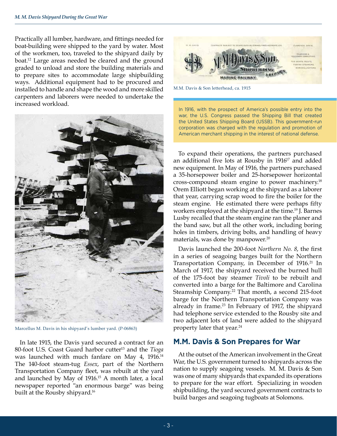Practically all lumber, hardware, and fittings needed for boat-building were shipped to the yard by water. Most of the workmen, too, traveled to the shipyard daily by boat.<sup>12</sup> Large areas needed be cleared and the ground graded to unload and store the building materials and to prepare sites to accommodate large shipbuilding ways. Additional equipment had to be procured and installed to handle and shape the wood and more skilled carpenters and laborers were needed to undertake the increased workload.



Marcellus M. Davis in his shipyard's lumber yard. (P-06863)

In late 1915, the Davis yard secured a contract for an 80-foot U.S. Coast Guard harbor cutter<sup>13</sup> and the *Tioga* was launched with much fanfare on May 4, 1916.<sup>14</sup> The 140-foot steam-tug *Essex*, part of the Northern Transportation Company fleet, was rebuilt at the yard and launched by May of 1916.15 A month later, a local newspaper reported "an enormous barge" was being built at the Rousby shipyard.<sup>16</sup>



M.M. Davis & Son letterhead, ca. 1915

In 1916, with the prospect of America's possible entry into the war, the U.S. Congress passed the Shipping Bill that created the United States Shipping Board (USSB). This government-run corporation was charged with the regulation and promotion of American merchant shipping in the interest of national defense.

To expand their operations, the partners purchased an additional five lots at Rousby in 1916<sup>17</sup> and added new equipment. In May of 1916, the partners purchased a 35-horsepower boiler and 25-horsepower horizontal cross-compound steam engine to power machinery.18 Orem Elliott began working at the shipyard as a laborer that year, carrying scrap wood to fire the boiler for the steam engine. He estimated there were perhaps fifty workers employed at the shipyard at the time.19 J. Barnes Lusby recalled that the steam engine ran the planer and the band saw, but all the other work, including boring holes in timbers, driving bolts, and handling of heavy materials, was done by manpower.<sup>20</sup>

Davis launched the 200-foot *Northern No. 8*, the first in a series of seagoing barges built for the Northern Transportation Company, in December of 1916.<sup>21</sup> In March of 1917, the shipyard received the burned hull of the 175-foot bay steamer *Tivoli* to be rebuilt and converted into a barge for the Baltimore and Carolina Steamship Company.<sup>22</sup> That month, a second 215-foot barge for the Northern Transportation Company was already in frame.23 In February of 1917, the shipyard had telephone service extended to the Rousby site and two adjacent lots of land were added to the shipyard property later that year.<sup>24</sup>

# **M.M. Davis & Son Prepares for War**

At the outset of the American involvement in the Great War, the U.S. government turned to shipyards across the nation to supply seagoing vessels. M. M. Davis & Son was one of many shipyards that expanded its operations to prepare for the war effort. Specializing in wooden shipbuilding, the yard secured government contracts to build barges and seagoing tugboats at Solomons.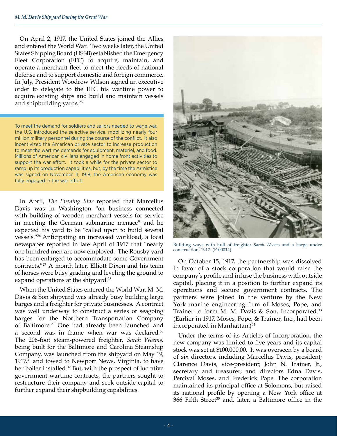On April 2, 1917, the United States joined the Allies and entered the World War. Two weeks later, the United States Shipping Board (USSB) established the Emergency Fleet Corporation (EFC) to acquire, maintain, and operate a merchant fleet to meet the needs of national defense and to support domestic and foreign commerce. In July, President Woodrow Wilson signed an executive order to delegate to the EFC his wartime power to acquire existing ships and build and maintain vessels and shipbuilding yards.<sup>25</sup>

To meet the demand for soldiers and sailors needed to wage war, the U.S. introduced the selective service, mobilizing nearly four million military personnel during the course of the conflict. It also incentivized the American private sector to increase production to meet the wartime demands for equipment, materiel, and food. Millions of American civilians engaged in home front activities to support the war effort. It took a while for the private sector to ramp up its production capabilities, but, by the time the Armistice was signed on November 11, 1918, the American economy was fully engaged in the war effort.

In April, *The Evening Star* reported that Marcellus Davis was in Washington "on business connected with building of wooden merchant vessels for service in meeting the German submarine menace" and he expected his yard to be "called upon to build several vessels."<sup>26</sup> Anticipating an increased workload, a local newspaper reported in late April of 1917 that "nearly one hundred men are now employed. The Rousby yard has been enlarged to accommodate some Government contracts."27 A month later, Elliott Dixon and his team of horses were busy grading and leveling the ground to expand operations at the shipyard.<sup>28</sup>

When the United States entered the World War, M. M. Davis & Son shipyard was already busy building large barges and a freighter for private businesses. A contract was well underway to construct a series of seagoing barges for the Northern Transportation Company of Baltimore.29 One had already been launched and a second was in frame when war was declared.<sup>30</sup> The 206-foot steam-powered freighter, *Sarah Weems,* being built for the Baltimore and Carolina Steamship Company, was launched from the shipyard on May 19, 1917 $3<sup>1</sup>$  and towed to Newport News, Virginia, to have her boiler installed.<sup>32</sup> But, with the prospect of lucrative government wartime contracts, the partners sought to restructure their company and seek outside capital to further expand their shipbuilding capabilities.



Building ways with hull of freighter *Sarah Weem*s and a barge under construction, 1917. (P-00014)

On October 15, 1917, the partnership was dissolved in favor of a stock corporation that would raise the company's profile and infuse the business with outside capital, placing it in a position to further expand its operations and secure government contracts. The partners were joined in the venture by the New York marine engineering firm of Moses, Pope, and Trainer to form M. M. Davis & Son, Incorporated.<sup>33</sup> (Earlier in 1917, Moses, Pope, & Trainer, Inc., had been incorporated in Manhattan.)<sup>34</sup>

Under the terms of its Articles of Incorporation, the new company was limited to five years and its capital stock was set at \$100,000.00. It was overseen by a board of six directors, including Marcellus Davis, president; Clarence Davis, vice-president; John N. Trainer, Jr., secretary and treasurer; and directors Edna Davis, Percival Moses, and Frederick Pope. The corporation maintained its principal office at Solomons, but raised its national profile by opening a New York office at  $366$  Fifth Street<sup>35</sup> and, later, a Baltimore office in the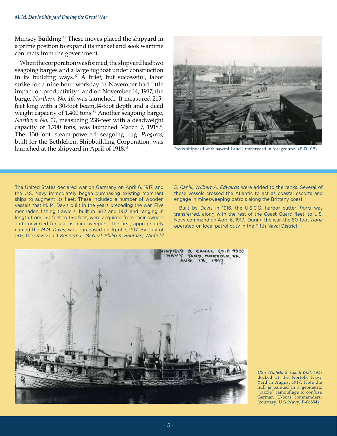Munsey Building.36 These moves placed the shipyard in a prime position to expand its market and seek wartime contracts from the government.

When the corporation was formed, the shipyard had two seagoing barges and a large tugboat under construction in its building ways.<sup>37</sup> A brief, but successful, labor strike for a nine-hour workday in November had little impact on productivity<sup>38</sup> and on November 14, 1917, the barge, *Northern No. 16*, was launched. It measured 215 feet long with a 30-foot beam,14-foot depth and a dead weight capacity of 1,400 tons.<sup>39</sup> Another seagoing barge, *Northern No. 11*, measuring 238-feet with a deadweight capacity of 1,700 tons, was launched March 7, 1918.<sup>40</sup> The 130-foot steam-powered seagoing tug *Progress*, built for the Bethlehem Shipbuilding Corporation, was launched at the shipyard in April of 1918.<sup>41</sup> Davis shipyard with sawmill and lumberyard in foreground. (P-00015)



The United States declared war on Germany on April 6, 1917, and the U.S. Navy immediately began purchasing existing merchant ships to augment its fleet. These included a number of wooden vessels that M. M. Davis built in the years preceding the war. Five menhaden fishing trawlers, built in 1912 and 1913 and ranging in length from 150 feet to 160 feet, were acquired from their owners and converted for use as minesweepers. The first, appropriately named the *M.M. Davis*, was purchased on April 7, 1917. By July of 1917, the Davis-built *Kenneth L. McNeal, Philip K. Bauman, Winfield* 

*S. Cahill, Wilbert A. Edwards* were added to the ranks. Several of these vessels crossed the Atlantic to act as coastal escorts and engage in minesweeping patrols along the Brittany coast.

Built by Davis in 1916, the U.S.C.G. harbor cutter *Tioga* was transferred, along with the rest of the Coast Guard fleet, to U.S. Navy command on April 6, 1917. During the war, the 80-foot *Tioga*  operated on local patrol duty in the Fifth Naval District.



*USS Winfield S. Cahill* (S.P. 493) docked at the Norfolk Navy Yard in August 1917. Note the hull is painted in a geometric "razzle" camouflage to confuse German U-boat commanders. (courtesy, U.S. Navy, P-06894)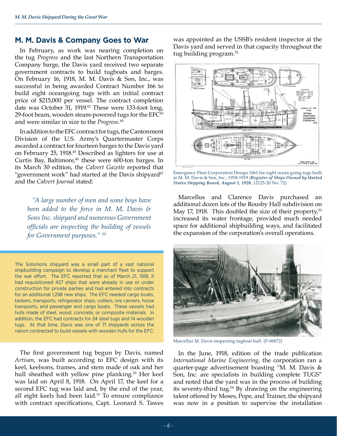#### **M. M. Davis & Company Goes to War**

In February, as work was nearing completion on the tug *Progress* and the last Northern Transportation Company barge, the Davis yard received two separate government contracts to build tugboats and barges. On February 16, 1918, M. M. Davis & Son, Inc., was successful in being awarded Contract Number 166 to build eight oceangoing tugs with an initial contract price of \$215,000 per vessel. The contract completion date was October 31, 1919.<sup>42</sup> These were 133-foot long, 29-foot beam, wooden steam-powered tugs for the EFC<sup>43</sup> and were similar in size to the *Progress.*44

In addition to the EFC contract for tugs, the Cantonment Division of the U.S. Army's Quartermaster Corps awarded a contract for fourteen barges to the Davis yard on February 25, 1918.45 Described as lighters for use at Curtis Bay, Baltimore,<sup>46</sup> these were 600-ton barges. In its March 30 edition, the *Calvert Gazette* reported that "government work" had started at the Davis shipyard $47$ and the *Calvert Journal* stated:

*"A large number of men and some boys have been added to the force in M. M. Davis & Sons Inc. shipyard and numerous Government officials are inspecting the building of vessels for Government purposes." 48*

The Solomons shipyard was a small part of a vast national shipbuilding campaign to develop a merchant fleet to support the war effort. The EFC reported that as of March 21, 1918, it had requisitioned 427 ships that were already in use or under construction for private parties and had entered into contracts for an additional 1,298 new ships. The EFC needed cargo boats, tankers, transports, refrigerator ships, colliers, ore carriers, horse transports, and passenger and cargo boats. These vessels had hulls made of steel, wood, concrete, or composite materials. In addition, the EFC had contracts for 24 steel tugs and 14 wooden tugs. At that time, Davis was one of 71 shipyards across the nation contracted to build vessels with wooden hulls for the EFC.

The first government tug begun by Davis, named *Artisan*, was built according to EFC design with its keel, keelsons, frames, and stem made of oak and her hull sheathed with yellow pine planking.<sup>50</sup> Her keel was laid on April 8, 1918. On April 17, the keel for a second EFC tug was laid and, by the end of the year, all eight keels had been laid.<sup>51</sup> To ensure compliance with contract specifications, Capt. Leonard S. Tawes

was appointed as the USSB's resident inspector at the Davis yard and served in that capacity throughout the tug building program.<sup>52</sup>



Emergency Fleet Corporation Design 1061 for eight ocean going tugs built at M. M. Davis & Son, Inc., 1918-1919 (*Register of Ships Owned by United States Shipping Board, August 1, 1920*, 12125-20 No. 72)

Marcellus and Clarence Davis purchased an additional dozen lots of the Rousby Hall subdivision on May 17, 1918. This doubled the size of their property, $53$ increased its water frontage, provided much needed space for additional shipbuilding ways, and facilitated the expansion of the corporation's overall operations.



Marcellus M. Davis inspecting tugboat hull. (P-06872)

In the June, 1918, edition of the trade publication *International Marine Engineering*, the corporation ran a quarter-page advertisement boasting "M. M. Davis & Son, Inc. are specialists in building complete TUGS" and noted that the yard was in the process of building its seventy-third tug.<sup>54</sup> By drawing on the engineering talent offered by Moses, Pope, and Trainer, the shipyard was now in a position to supervise the installation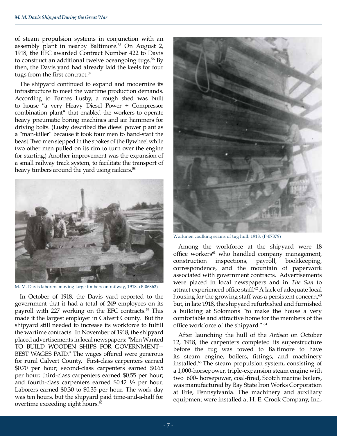of steam propulsion systems in conjunction with an assembly plant in nearby Baltimore.<sup>55</sup> On August 2, 1918, the EFC awarded Contract Number 422 to Davis to construct an additional twelve oceangoing tugs.<sup>56</sup> By then, the Davis yard had already laid the keels for four tugs from the first contract.<sup>57</sup>

The shipyard continued to expand and modernize its infrastructure to meet the wartime production demands. According to Barnes Lusby, a rough shed was built to house "a very Heavy Diesel Power + Compressor combination plant" that enabled the workers to operate heavy pneumatic boring machines and air hammers for driving bolts. (Lusby described the diesel power plant as a "man-killer" because it took four men to hand-start the beast. Two men stepped in the spokes of the flywheel while two other men pulled on its rim to turn over the engine for starting.) Another improvement was the expansion of a small railway track system, to facilitate the transport of heavy timbers around the yard using railcars.<sup>58</sup>



M. M. Davis laborers moving large timbers on railway, 1918. (P-06862)

In October of 1918, the Davis yard reported to the government that it had a total of 249 employees on its payroll with 227 working on the EFC contracts.<sup>59</sup> This made it the largest employer in Calvert County. But the shipyard still needed to increase its workforce to fulfill the wartime contracts. In November of 1918, the shipyard placed advertisements in local newspapers: "Men Wanted TO BUILD WOODEN SHIPS FOR GOVERNMENT— BEST WAGES PAID." The wages offered were generous for rural Calvert County. First-class carpenters earned \$0.70 per hour; second-class carpenters earned \$0.65 per hour; third-class carpenters earned \$0.55 per hour; and fourth-class carpenters earned \$0.42 ½ per hour. Laborers earned \$0.30 to \$0.35 per hour. The work day was ten hours, but the shipyard paid time-and-a-half for overtime exceeding eight hours.<sup>60</sup>



Workmen caulking seams of tug hull, 1918. (P-07879)

Among the workforce at the shipyard were 18 office workers<sup>61</sup> who handled company management, construction inspections, payroll, bookkeeping, correspondence, and the mountain of paperwork associated with government contracts. Advertisements were placed in local newspapers and in *The Sun* to attract experienced office staff.<sup>62</sup> A lack of adequate local housing for the growing staff was a persistent concern,<sup>63</sup> but, in late 1918, the shipyard refurbished and furnished a building at Solomons "to make the house a very comfortable and attractive home for the members of the office workforce of the shipyard." <sup>64</sup>

After launching the hull of the *Artisan* on October 12, 1918, the carpenters completed its superstructure before the tug was towed to Baltimore to have its steam engine, boilers, fittings, and machinery installed.65 The steam propulsion system, consisting of a 1,000-horsepower, triple-expansion steam engine with two 600- horsepower, coal-fired, Scotch marine boilers, was manufactured by Bay State Iron Works Corporation at Erie, Pennsylvania. The machinery and auxiliary equipment were installed at H. E. Crook Company, Inc.,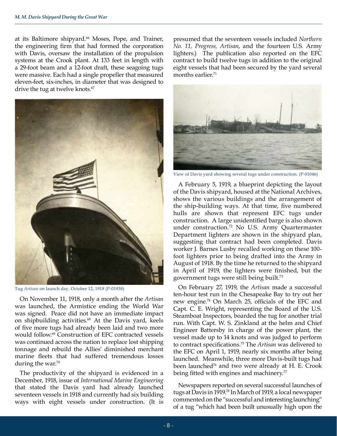at its Baltimore shipyard.<sup>66</sup> Moses, Pope, and Trainer, the engineering firm that had formed the corporation with Davis, oversaw the installation of the propulsion systems at the Crook plant. At 133 feet in length with a 29-foot beam and a 12-foot draft, these seagoing tugs were massive. Each had a single propeller that measured eleven-feet, six-inches, in diameter that was designed to drive the tug at twelve knots.<sup>67</sup>



Tug *Artisan* on launch day, October 12, 1918 (P-01938)

On November 11, 1918, only a month after the *Artisan*  was launched, the Armistice ending the World War was signed. Peace did not have an immediate impact on shipbuilding activities.<sup>68</sup> At the Davis yard, keels of five more tugs had already been laid and two more would follow.<sup>69</sup> Construction of EFC contracted vessels was continued across the nation to replace lost shipping tonnage and rebuild the Allies' diminished merchant marine fleets that had suffered tremendous losses during the war. $70$ 

The productivity of the shipyard is evidenced in a December, 1918, issue of *International Marine Engineering* that stated the Davis yard had already launched seventeen vessels in 1918 and currently had six building ways with eight vessels under construction. (It is

presumed that the seventeen vessels included *Northern No. 11, Progress, Artisan*, and the fourteen U.S. Army lighters.) The publication also reported on the EFC contract to build twelve tugs in addition to the original eight vessels that had been secured by the yard several months earlier.<sup>71</sup>



View of Davis yard showing several tugs under construction. (P-01046)

A February 5, 1919, a blueprint depicting the layout of the Davis shipyard, housed at the National Archives, shows the various buildings and the arrangement of the ship-building ways. At that time, five numbered hulls are shown that represent EFC tugs under construction. A large unidentified barge is also shown under construction.72 No U.S. Army Quartermaster Department lighters are shown in the shipyard plan, suggesting that contract had been completed. Davis worker J. Barnes Lusby recalled working on these 100 foot lighters prior to being drafted into the Army in August of 1918. By the time he returned to the shipyard in April of 1919, the lighters were finished, but the government tugs were still being built.<sup>73</sup>

On February 27, 1919, the *Artisan* made a successful ten-hour test run in the Chesapeake Bay to try out her new engine.74 On March 25, officials of the EFC and Capt. C. E. Wright, representing the Board of the U.S. Steamboat Inspectors, boarded the tug for another trial run. With Capt. W. S. Zinkland at the helm and Chief Engineer Battersby in charge of the power plant, the vessel made up to 14 knots and was judged to perform to contract specifications.75 The *Artisan* was delivered to the EFC on April 1, 1919, nearly six months after being launched. Meanwhile, three more Davis-built tugs had been launched<sup>76</sup> and two were already at H. E. Crook being fitted with engines and machinery.<sup>77</sup>

Newspapers reported on several successful launches of tugs at Davis in 1919.78 In March of 1919, a local newspaper commented on the "successful and interesting launching" of a tug "which had been built unusually high upon the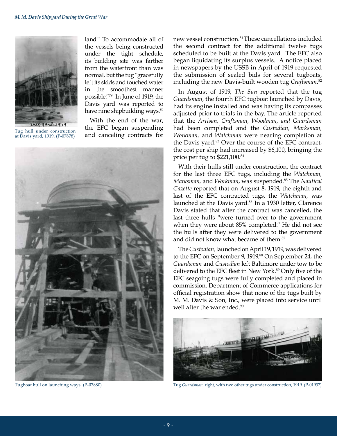

Tug hull under construction at Davis yard, 1919. (P-07878)

land." To accommodate all of the vessels being constructed under the tight schedule, its building site was farther from the waterfront than was normal, but the tug "gracefully left its skids and touched water in the smoothest manner possible."79 In June of 1919, the Davis yard was reported to have nine shipbuilding ways.<sup>80</sup>

With the end of the war, the EFC began suspending and canceling contracts for



new vessel construction.<sup>81</sup>These cancellations included the second contract for the additional twelve tugs scheduled to be built at the Davis yard. The EFC also began liquidating its surplus vessels. A notice placed in newspapers by the USSB in April of 1919 requested the submission of sealed bids for several tugboats, including the new Davis-built wooden tug *Craftsman*. 82

In August of 1919, *The Sun* reported that the tug *Guardsman*, the fourth EFC tugboat launched by Davis, had its engine installed and was having its compasses adjusted prior to trials in the bay. The article reported that the *Artisan, Craftsman, Woodman, and Guardsman*  had been completed and the *Custodian, Marksman, Workman,* and *Watchman* were nearing completion at the Davis yard.83 Over the course of the EFC contract, the cost per ship had increased by \$6,100, bringing the price per tug to \$221,100.84

With their hulls still under construction, the contract for the last three EFC tugs, including the *Watchman, Marksman,* and *Workman*, was suspended.85 The *Nautical Gazette* reported that on August 8, 1919, the eighth and last of the EFC contracted tugs, the *Watchman*, was launched at the Davis yard.<sup>86</sup> In a 1930 letter, Clarence Davis stated that after the contract was cancelled, the last three hulls "were turned over to the government when they were about 85% completed." He did not see the hulls after they were delivered to the government and did not know what became of them.<sup>87</sup>

The *Custodian,* launched on April 19, 1919, was delivered to the EFC on September 9, 1919.<sup>88</sup> On September 24, the *Guardsman* and *Custodian* left Baltimore under tow to be delivered to the EFC fleet in New York.<sup>89</sup> Only five of the EFC seagoing tugs were fully completed and placed in commission. Department of Commerce applications for official registration show that none of the tugs built by M. M. Davis & Son, Inc., were placed into service until well after the war ended.<sup>90</sup>



Tugboat hull on launching ways. (P-07880) Tug *Guardsman*, right, with two other tugs under construction, 1919. (P-01937)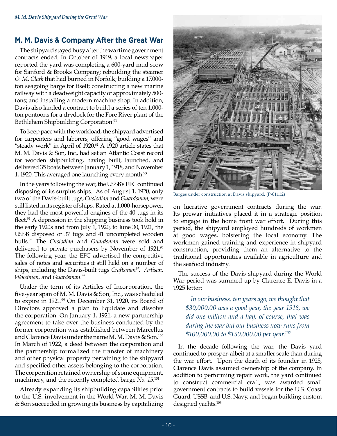### **M. M. Davis & Company After the Great War**

The shipyard stayed busy after the wartime government contracts ended. In October of 1919, a local newspaper reported the yard was completing a 600-yard mud scow for Sanford & Brooks Company; rebuilding the steamer *O. M. Clark* that had burned in Norfolk; building a 17,000 ton seagoing barge for itself; constructing a new marine railway with a deadweight capacity of approximately 500 tons; and installing a modern machine shop. In addition, Davis also landed a contract to build a series of ten 1,000 ton pontoons for a drydock for the Fore River plant of the Bethlehem Shipbuilding Corporation.<sup>91</sup>

To keep pace with the workload, the shipyard advertised for carpenters and laborers, offering "good wages" and "steady work" in April of 1920.<sup>92</sup> A 1920 article states that M. M. Davis & Son, Inc., had set an Atlantic Coast record for wooden shipbuilding, having built, launched, and delivered 35 boats between January 1, 1918, and November 1, 1920. This averaged one launching every month.<sup>93</sup>

In the years following the war, the USSB's EFC continued disposing of its surplus ships. As of August 1, 1920, only two of the Davis-built tugs, *Custodian* and *Guardsman*, were still listed in its register of ships. Rated at 1,000-horsepower, they had the most powerful engines of the 40 tugs in its fleet.<sup>94</sup> A depression in the shipping business took hold in the early 1920s and from July 1, 1920, to June 30, 1921, the USSB disposed of 37 tugs and 41 uncompleted wooden hulls.<sup>95</sup> The *Custodian* and *Guardsman* were sold and delivered to private purchasers by November of 1921.<sup>96</sup> The following year, the EFC advertised the competitive sales of notes and securities it still held on a number of ships, including the Davis-built tugs *Craftsman97, Artisan, Woodman,* and *Guardsman.98*

Under the term of its Articles of Incorporation, the five-year span of M. M. Davis & Son, Inc., was scheduled to expire in 1921.<sup>99</sup> On December 31, 1920, its Board of Directors approved a plan to liquidate and dissolve the corporation. On January 1, 1921, a new partnership agreement to take over the business conducted by the former corporation was established between Marcellus and Clarence Davis under the name M. M. Davis & Son.100 In March of 1922, a deed between the corporation and the partnership formalized the transfer of machinery and other physical property pertaining to the shipyard and specified other assets belonging to the corporation. The corporation retained ownership of some equipment, machinery, and the recently completed barge *No. 15*. 101

Already expanding its shipbuilding capabilities prior to the U.S. involvement in the World War, M. M. Davis & Son succeeded in growing its business by capitalizing



Barges under construction at Davis shipyard. (P-01112)

on lucrative government contracts during the war. Its prewar initiatives placed it in a strategic position to engage in the home front war effort. During this period, the shipyard employed hundreds of workmen at good wages, bolstering the local economy. The workmen gained training and experience in shipyard construction, providing them an alternative to the traditional opportunities available in agriculture and the seafood industry.

The success of the Davis shipyard during the World War period was summed up by Clarence E. Davis in a 1925 letter:

*In our business, ten years ago, we thought that \$30,000.00 was a good year, the year 1918, we did one-million and a half, of course, that was during the war but our business now runs from \$100,000.00 to \$150,000.00 per year.102* 

In the decade following the war, the Davis yard continued to prosper, albeit at a smaller scale than during the war effort. Upon the death of its founder in 1925, Clarence Davis assumed ownership of the company. In addition to performing repair work, the yard continued to construct commercial craft, was awarded small government contracts to build vessels for the U.S. Coast Guard, USSB, and U.S. Navy, and began building custom designed yachts.<sup>103</sup>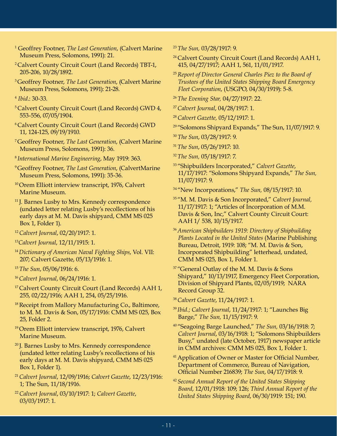- 1 Geoffrey Footner, *The Last Generation*, (Calvert Marine Museum Press, Solomons, 1991): 21.
- 2 Calvert County Circuit Court (Land Records) TBT-1, 205-206, 10/28/1892.
- <sup>3</sup>Geoffrey Footner, *The Last Generation*, (Calvert Marine Museum Press, Solomons, 1991): 21-28.
- 4  *Ibid*.: 30-33.
- 5 Calvert County Circuit Court (Land Records) GWD 4, 553-556, 07/05/1904.
- 6 Calvert County Circuit Court (Land Records) GWD 11, 124-125, 09/19/1910.
- 7 Geoffrey Footner, *The Last Generation*, (Calvert Marine Museum Press, Solomons, 1991): 36.
- <sup>8</sup>*International Marine Engineering*, May 1919: 363.
- <sup>9</sup>Geoffrey Footner, *The Last Generation*, (CalvertMarine Museum Press, Solomons, 1991): 35-36.
- <sup>10</sup> Orem Elliott interview transcript, 1976, Calvert Marine Museum.
- <sup>11</sup> J. Barnes Lusby to Mrs. Kennedy correspondence (undated letter relating Lusby's recollections of his early days at M. M. Davis shipyard, CMM MS 025 Box 1, Folder 1).
- <sup>12</sup>*Calvert Journal*, 02/20/1917: 1.
- <sup>13</sup>*Calvert Journal*, 12/11/1915: 1.
- <sup>14</sup>*Dictionary of American Naval Fighting Ships*, Vol. VII: 207; Calvert Gazette, 05/13/1916: 1.
- <sup>15</sup>*The Sun*, 05/06/1916: 6.
- <sup>16</sup>*Calvert Journal*, 06/24/1916: 1.
- <sup>17</sup> Calvert County Circuit Court (Land Records) AAH 1, 255, 02/22/1916; AAH 1, 254, 05/25/1916.
- <sup>18</sup> Receipt from Mallory Manufacturing Co., Baltimore, to M. M. Davis & Son, 05/17/1916: CMM MS 025, Box 25, Folder 2.
- <sup>19</sup> Orem Elliott interview transcript, 1976, Calvert Marine Museum.
- <sup>20</sup> J. Barnes Lusby to Mrs. Kennedy correspondence (undated letter relating Lusby's recollections of his early days at M. M. Davis shipyard, CMM MS 025 Box 1, Folder 1).
- <sup>21</sup>*Calvert Journal*, 12/09/1916; *Calvert Gazette*, 12/23/1916: 1; The Sun, 11/18/1916.
- <sup>22</sup>*Calvert Journal*, 03/10/1917: 1; *Calvert Gazette*, 03/03/1917: 1.
- <sup>23</sup>*The Sun,* 03/28/1917: 9.
- <sup>24</sup> Calvert County Circuit Court (Land Records) AAH 1, 415, 04/27/1917; AAH 1, 561, 11/01/1917.
- <sup>25</sup>*Report of Director General Charles Piez to the Board of Trustees of the United States Shipping Board Emergency Fleet Corporation*, (USGPO, 04/30/1919): 5-8.
- <sup>26</sup>*The Evening Star,* 04/27/1917: 22.
- <sup>27</sup>*Calvert Journal*, 04/28/1917: 1.
- <sup>28</sup>*Calvert Gazette,* 05/12/1917: 1.
- <sup>29</sup> "Solomons Shipyard Expands," The Sun, 11/07/1917: 9.
- <sup>30</sup>*The Sun*, 03/28/1917: 9.
- <sup>31</sup>*The Sun*, 05/26/1917: 10.
- <sup>32</sup>*The Sun,* 05/18/1917: 7.
- <sup>33</sup>"Shipbuilders Incorporated," *Calvert Gazette*, 11/17/1917: "Solomons Shipyard Expands," *The Sun,* 11/07/1917: 9.
- <sup>34</sup>"New Incorporations," *The Sun,* 08/15/1917: 10.
- 35 "M. M. Davis & Son Incorporated," *Calvert Journal,*  11/17/1917: 1; "Articles of Incorporation of M.M. Davis & Son, Inc," Calvert County Circuit Court: AAH 1/ 538, 10/15/1917.
- <sup>36</sup>*American Shipbuilders 1919: Directory of Shipbuilding Plants Located in the United States* (Marine Publishing Bureau, Detroit, 1919: 108; "M. M. Davis & Son, Incorporated Shipbuilding" letterhead, undated, CMM MS 025, Box 1, Folder 1.
- <sup>37</sup> "General Outlay of the M. M. Davis & Sons Shipyard," 10/13/1917, Emergency Fleet Corporation, Division of Shipyard Plants, 02/05/1919; NARA Record Group 32.
- <sup>38</sup>*Calvert Gazette*, 11/24/1917: 1.
- <sup>39</sup>*Ibid.; Calvert Journal*, 11/24/1917: 1; "Launches Big Barge," *The Sun,* 11/15/1917: 9.
- 40 "Seagoing Barge Launched," *The Sun,* 03/16/1918: 7; *Calvert Journal*, 03/16/1918: 1; "Solomons Shipbuilders Busy," undated (late October, 1917) newspaper article in CMM archives: CMM MS 025, Box 1, Folder 1.
- <sup>41</sup> Application of Owner or Master for Official Number, Department of Commerce, Bureau of Navigation, Official Number 216839; *The Sun*, 04/17/1918: 9.
- <sup>42</sup> *Second Annual Report of the United States Shipping Board*, 12/01/1918: 109; 126; *Third Annual Report of the United States Shipping Board*, 06/30/1919: 151; 190.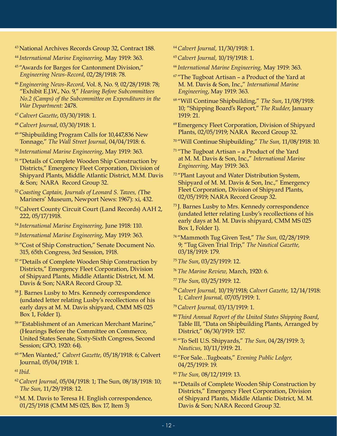- <sup>43</sup>National Archives Records Group 32, Contract 188.
- <sup>44</sup>*International Marine Engineering,* May 1919: 363.
- 45 "Awards for Barges for Cantonment Division," *Engineering News-Record*, 02/28/1918: 78.
- <sup>46</sup>*Engineering News-Record*, Vol. 8, No. 9, 02/28/1918: 78; "Exhibit E.J.W., No. 9," *Hearing Before Subcommittees No.2 (Camps) of the Subcommittee on Expenditures in the War Department:* 2478.
- <sup>47</sup>*Calvert Gazette*, 03/30/1918: 1.
- <sup>48</sup>*Calvert Journal*, 03/30/1918: 1.
- <sup>49</sup>"Shipbuilding Program Calls for 10,447,836 New Tonnage," *The Wall Street Journal*, 04/04/1918: 6.
- <sup>50</sup>*International Marine Engineering*, May 1919: 363.
- <sup>51</sup> "Details of Complete Wooden Ship Construction by Districts," Emergency Fleet Corporation, Division of Shipyard Plants, Middle Atlantic District, M.M. Davis & Son; NARA Record Group 32.
- <sup>52</sup>*Coasting Captain, Journals of Leonard S. Tawes, (*The Mariners' Museum, Newport News: 1967): xi, 432.
- <sup>53</sup> Calvert County Circuit Court (Land Records) AAH 2, 222, 05/17/1918.
- <sup>54</sup>*International Marine Engineering,* June 1918: 110.
- <sup>55</sup>*International Marine Engineering*, May 1919: 363.
- 56 "Cost of Ship Construction," Senate Document No. 315, 65th Congress, 3rd Session, 1918.
- <sup>57</sup> "Details of Complete Wooden Ship Construction by Districts," Emergency Fleet Corporation, Division of Shipyard Plants, Middle Atlantic District, M. M. Davis & Son; NARA Record Group 32.
- 58 J. Barnes Lusby to Mrs. Kennedy correspondence (undated letter relating Lusby's recollections of his early days at M. M. Davis shipyard, CMM MS 025 Box 1, Folder 1).
- <sup>59</sup> "Establishment of an American Merchant Marine," (Hearings Before the Committee on Commerce, United States Senate, Sixty-Sixth Congress, Second Session; GPO, 1920: 64).
- 60 "Men Wanted," *Calvert Gazette,* 05/18/1918: 6; Calvert Journal, 05/04/1918: 1.
- <sup>61</sup> *Ibid.*
- <sup>62</sup>*Calvert Journal*, 05/04/1918: 1; The Sun, 08/18/1918: 10; *The Sun*, 11/29/1918: 12.
- <sup>63</sup> M. M. Davis to Teresa H. English correspondence, 01/25/1918 (CMM MS 025, Box 17, Item 3)
- <sup>64</sup>*Calvert Journal,* 11/30/1918: 1.
- <sup>65</sup>*Calvert Journal,* 10/19/1918: 1.
- <sup>66</sup>*International Marine Engineering,* May 1919: 363.
- $67$  "The Tugboat Artisan a Product of the Yard at M. M. Davis & Son, Inc.," *International Marine Engineering*, May 1919: 363.
- 68 "Will Continue Shipbuilding," *The Sun*, 11/08/1918: 10; "Shipping Board's Report," *The Rudder*, January 1919: 21.
- 69 Emergency Fleet Corporation, Division of Shipyard Plants, 02/05/1919; NARA Record Group 32.
- 70 "Will Continue Shipbuilding," *The Sun,* 11/08/1918: 10.
- $71$  "The Tugboat Artisan a Product of the Yard at M. M. Davis & Son, Inc.," *International Marine Engineering,* May 1919: 363.
- <sup>72</sup> "Plant Layout and Water Distribution System, Shipyard of M. M. Davis & Son, Inc.," Emergency Fleet Corporation, Division of Shipyard Plants, 02/05/1919; NARA Record Group 32.
- 73 J. Barnes Lusby to Mrs. Kennedy correspondence (undated letter relating Lusby's recollections of his early days at M. M. Davis shipyard, CMM MS 025 Box 1, Folder 1).
- 74 "Mammoth Tug Given Test," *The Sun,* 02/28/1919: 9; "Tug Given Trial Trip," *The Nautical Gazette,*  03/18/1919: 179.
- <sup>75</sup>*The Sun*, 03/25/1919: 12.
- <sup>76</sup>*The Marine Review,* March, 1920: 6.
- <sup>77</sup>*The Sun*, 03/25/1919: 12.
- <sup>78</sup>*Calvert Journal,* 10/19/1918; *Calvert Gazette,* 12/14/1918: 1; *Calvert Journal,* 07/05/1919: 1.
- <sup>79</sup>*Calvert Journal,* 03/13/1919: 1.
- <sup>80</sup>*Third Annual Report of the United States Shipping Board*, Table III, "Data on Shipbuilding Plants, Arranged by District," 06/30/1919: 157.
- 81 "To Sell U.S. Shipyards," *The Sun*, 04/28/1919: 3; *Nauticus*, 10/11/1919: 21.
- 82 "For Sale…Tugboats," *Evening Public Ledger,*  04/25/1919: 19.
- <sup>83</sup>*The Sun,* 08/12/1919: 13.
- <sup>84</sup> "Details of Complete Wooden Ship Construction by Districts," Emergency Fleet Corporation, Division of Shipyard Plants, Middle Atlantic District, M. M. Davis & Son; NARA Record Group 32.